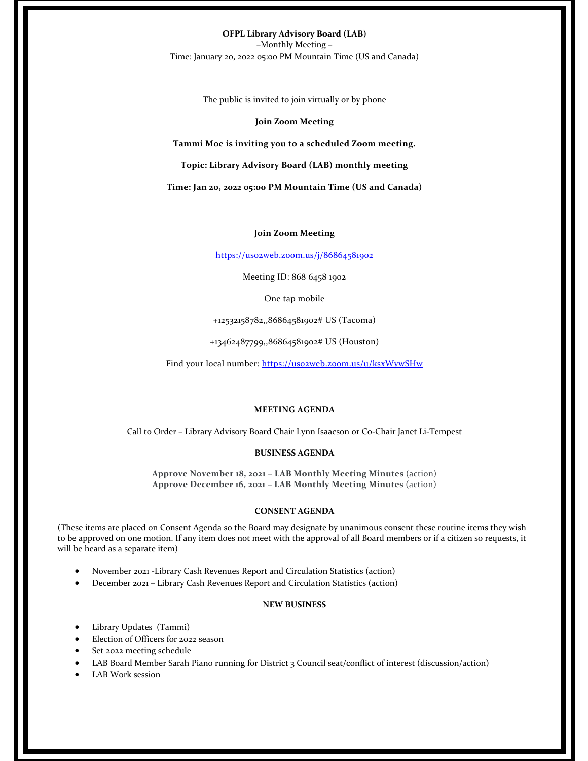**OFPL Library Advisory Board (LAB)** –Monthly Meeting **–** Time: January 20, 2022 05:00 PM Mountain Time (US and Canada)

The public is invited to join virtually or by phone

## **Join Zoom Meeting**

**Tammi Moe is inviting you to a scheduled Zoom meeting.**

**Topic: Library Advisory Board (LAB) monthly meeting** 

**Time: Jan 20, 2022 05:00 PM Mountain Time (US and Canada)**

## **Join Zoom Meeting**

https://us02web.zoom.us/j/86864581902

Meeting ID: 868 6458 1902

One tap mobile

+12532158782,,86864581902# US (Tacoma)

+13462487799,,86864581902# US (Houston)

Find your local number: https://usozweb.zoom.us/u/ksxWywSHw

## **MEETING AGENDA**

Call to Order – Library Advisory Board Chair Lynn Isaacson or Co‐Chair Janet Li‐Tempest

#### **BUSINESS AGENDA**

**Approve November 18, 2021 – LAB Monthly Meeting Minutes** (action) **Approve December 16, 2021 – LAB Monthly Meeting Minutes** (action)

#### **CONSENT AGENDA**

(These items are placed on Consent Agenda so the Board may designate by unanimous consent these routine items they wish to be approved on one motion. If any item does not meet with the approval of all Board members or if a citizen so requests, it will be heard as a separate item)

- November 2021 ‐Library Cash Revenues Report and Circulation Statistics (action)
- December 2021 Library Cash Revenues Report and Circulation Statistics (action)

#### **NEW BUSINESS**

- Library Updates (Tammi)
- Election of Officers for 2022 season
- Set 2022 meeting schedule
- LAB Board Member Sarah Piano running for District 3 Council seat/conflict of interest (discussion/action)
- LAB Work session